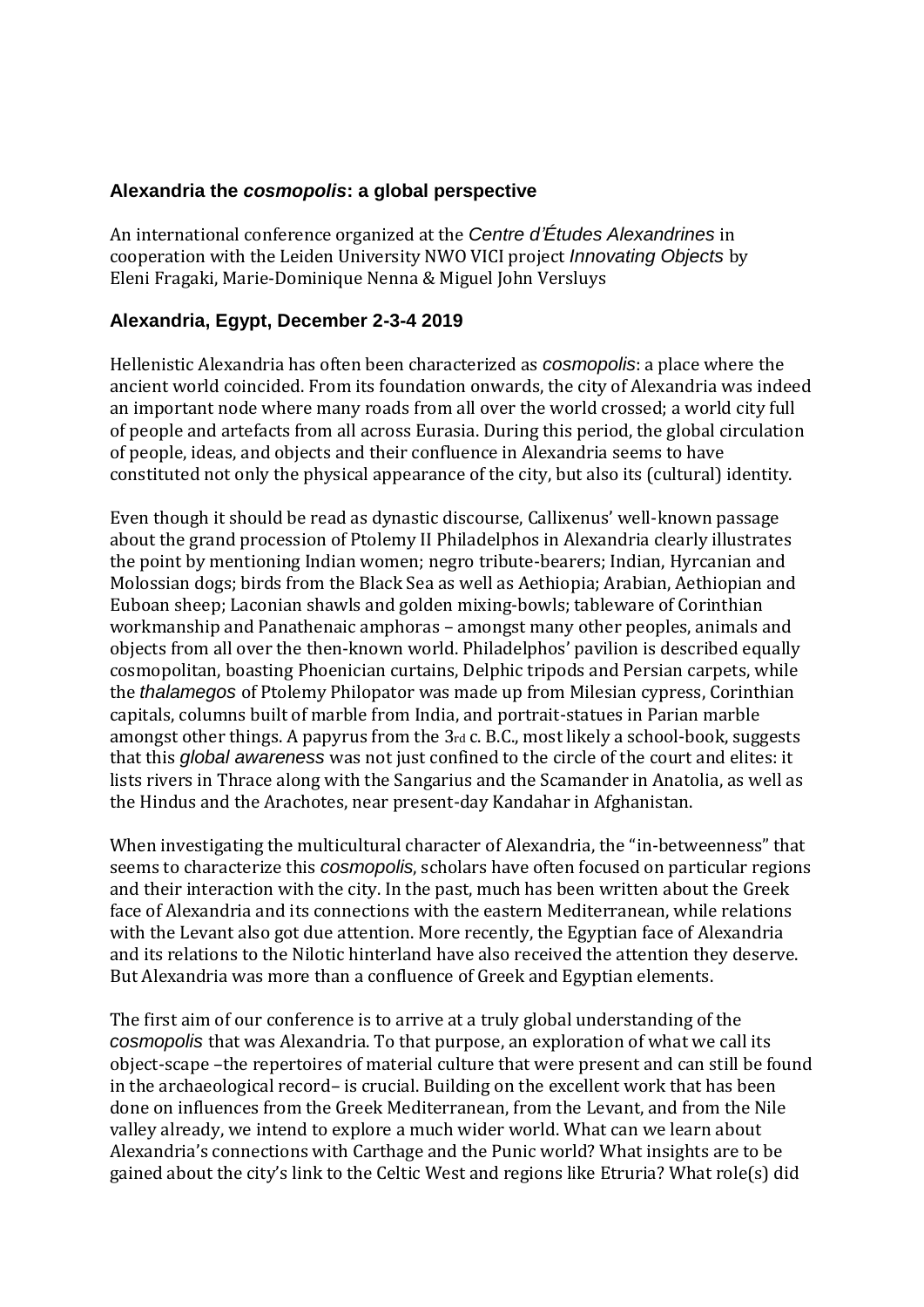## **Alexandria the** *cosmopolis***: a global perspective**

An international conference organized at the *Centre d'Études Alexandrines* in cooperation with the Leiden University NWO VICI project *Innovating Objects* by Eleni Fragaki, Marie-Dominique Nenna & Miguel John Versluys

# **Alexandria, Egypt, December 2-3-4 2019**

Hellenistic Alexandria has often been characterized as *cosmopolis*: a place where the ancient world coincided. From its foundation onwards, the city of Alexandria was indeed an important node where many roads from all over the world crossed; a world city full of people and artefacts from all across Eurasia. During this period, the global circulation of people, ideas, and objects and their confluence in Alexandria seems to have constituted not only the physical appearance of the city, but also its (cultural) identity.

Even though it should be read as dynastic discourse, Callixenus' well-known passage about the grand procession of Ptolemy II Philadelphos in Alexandria clearly illustrates the point by mentioning Indian women; negro tribute-bearers; Indian, Hyrcanian and Molossian dogs; birds from the Black Sea as well as Aethiopia; Arabian, Aethiopian and Euboan sheep; Laconian shawls and golden mixing-bowls; tableware of Corinthian workmanship and Panathenaic amphoras – amongst many other peoples, animals and objects from all over the then-known world. Philadelphos' pavilion is described equally cosmopolitan, boasting Phoenician curtains, Delphic tripods and Persian carpets, while the *thalamegos* of Ptolemy Philopator was made up from Milesian cypress, Corinthian capitals, columns built of marble from India, and portrait-statues in Parian marble amongst other things. A papyrus from the 3rd c. B.C., most likely a school-book, suggests that this *global awareness* was not just confined to the circle of the court and elites: it lists rivers in Thrace along with the Sangarius and the Scamander in Anatolia, as well as the Hindus and the Arachotes, near present-day Kandahar in Afghanistan.

When investigating the multicultural character of Alexandria, the "in-betweenness" that seems to characterize this *cosmopolis*, scholars have often focused on particular regions and their interaction with the city. In the past, much has been written about the Greek face of Alexandria and its connections with the eastern Mediterranean, while relations with the Levant also got due attention. More recently, the Egyptian face of Alexandria and its relations to the Nilotic hinterland have also received the attention they deserve. But Alexandria was more than a confluence of Greek and Egyptian elements.

The first aim of our conference is to arrive at a truly global understanding of the *cosmopolis* that was Alexandria. To that purpose, an exploration of what we call its object-scape –the repertoires of material culture that were present and can still be found in the archaeological record– is crucial. Building on the excellent work that has been done on influences from the Greek Mediterranean, from the Levant, and from the Nile valley already, we intend to explore a much wider world. What can we learn about Alexandria's connections with Carthage and the Punic world? What insights are to be gained about the city's link to the Celtic West and regions like Etruria? What role(s) did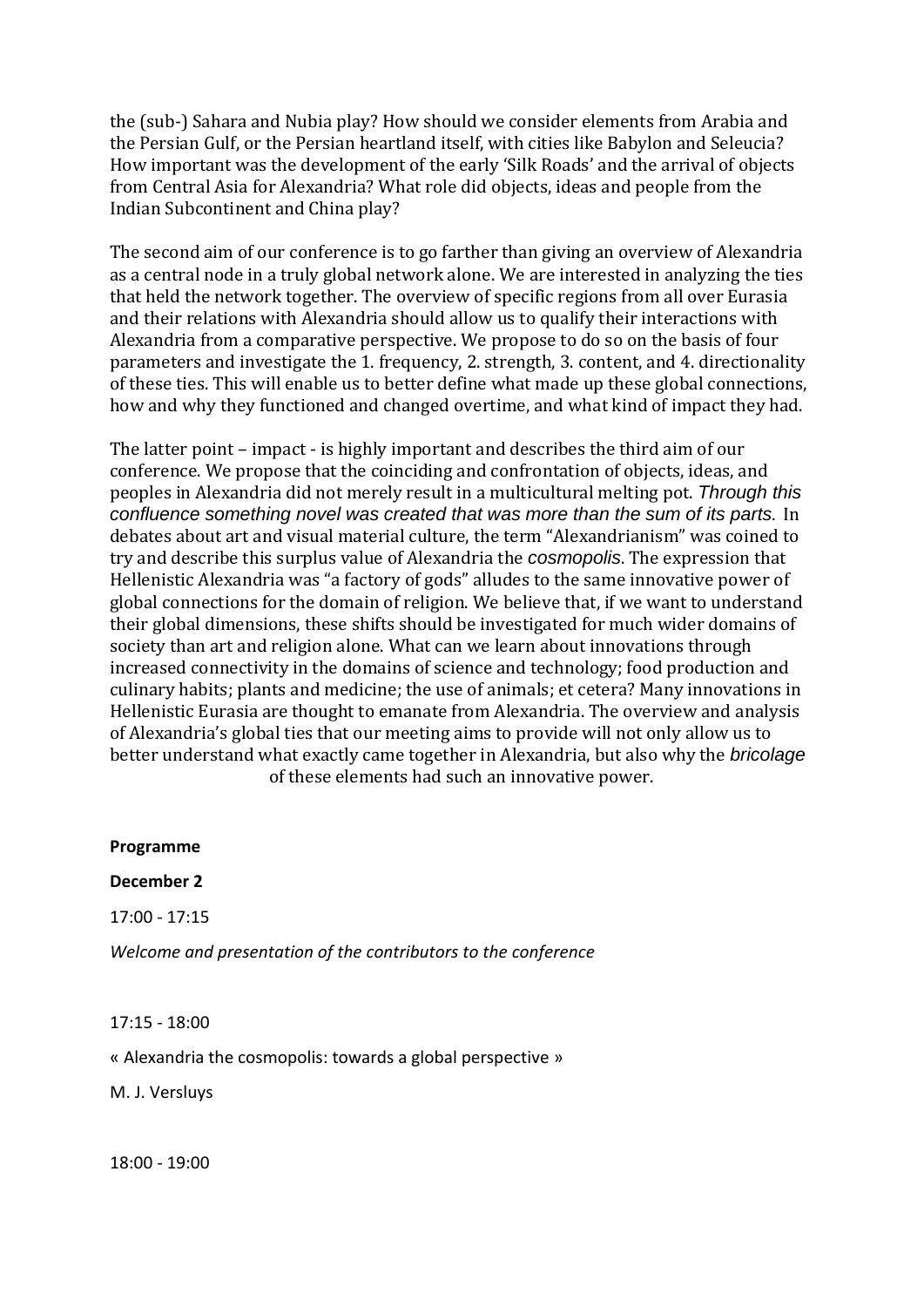the (sub-) Sahara and Nubia play? How should we consider elements from Arabia and the Persian Gulf, or the Persian heartland itself, with cities like Babylon and Seleucia? How important was the development of the early 'Silk Roads' and the arrival of objects from Central Asia for Alexandria? What role did objects, ideas and people from the Indian Subcontinent and China play?

The second aim of our conference is to go farther than giving an overview of Alexandria as a central node in a truly global network alone. We are interested in analyzing the ties that held the network together. The overview of specific regions from all over Eurasia and their relations with Alexandria should allow us to qualify their interactions with Alexandria from a comparative perspective. We propose to do so on the basis of four parameters and investigate the 1. frequency, 2. strength, 3. content, and 4. directionality of these ties. This will enable us to better define what made up these global connections, how and why they functioned and changed overtime, and what kind of impact they had.

The latter point – impact - is highly important and describes the third aim of our conference. We propose that the coinciding and confrontation of objects, ideas, and peoples in Alexandria did not merely result in a multicultural melting pot. *Through this confluence something novel was created that was more than the sum of its parts.* In debates about art and visual material culture, the term "Alexandrianism" was coined to try and describe this surplus value of Alexandria the *cosmopolis*. The expression that Hellenistic Alexandria was "a factory of gods" alludes to the same innovative power of global connections for the domain of religion. We believe that, if we want to understand their global dimensions, these shifts should be investigated for much wider domains of society than art and religion alone. What can we learn about innovations through increased connectivity in the domains of science and technology; food production and culinary habits; plants and medicine; the use of animals; et cetera? Many innovations in Hellenistic Eurasia are thought to emanate from Alexandria. The overview and analysis of Alexandria's global ties that our meeting aims to provide will not only allow us to better understand what exactly came together in Alexandria, but also why the *bricolage* of these elements had such an innovative power.

**Programme**

#### **December 2**

17:00 - 17:15

*Welcome and presentation of the contributors to the conference*

17:15 - 18:00

« Alexandria the cosmopolis: towards a global perspective »

M. J. Versluys

18:00 - 19:00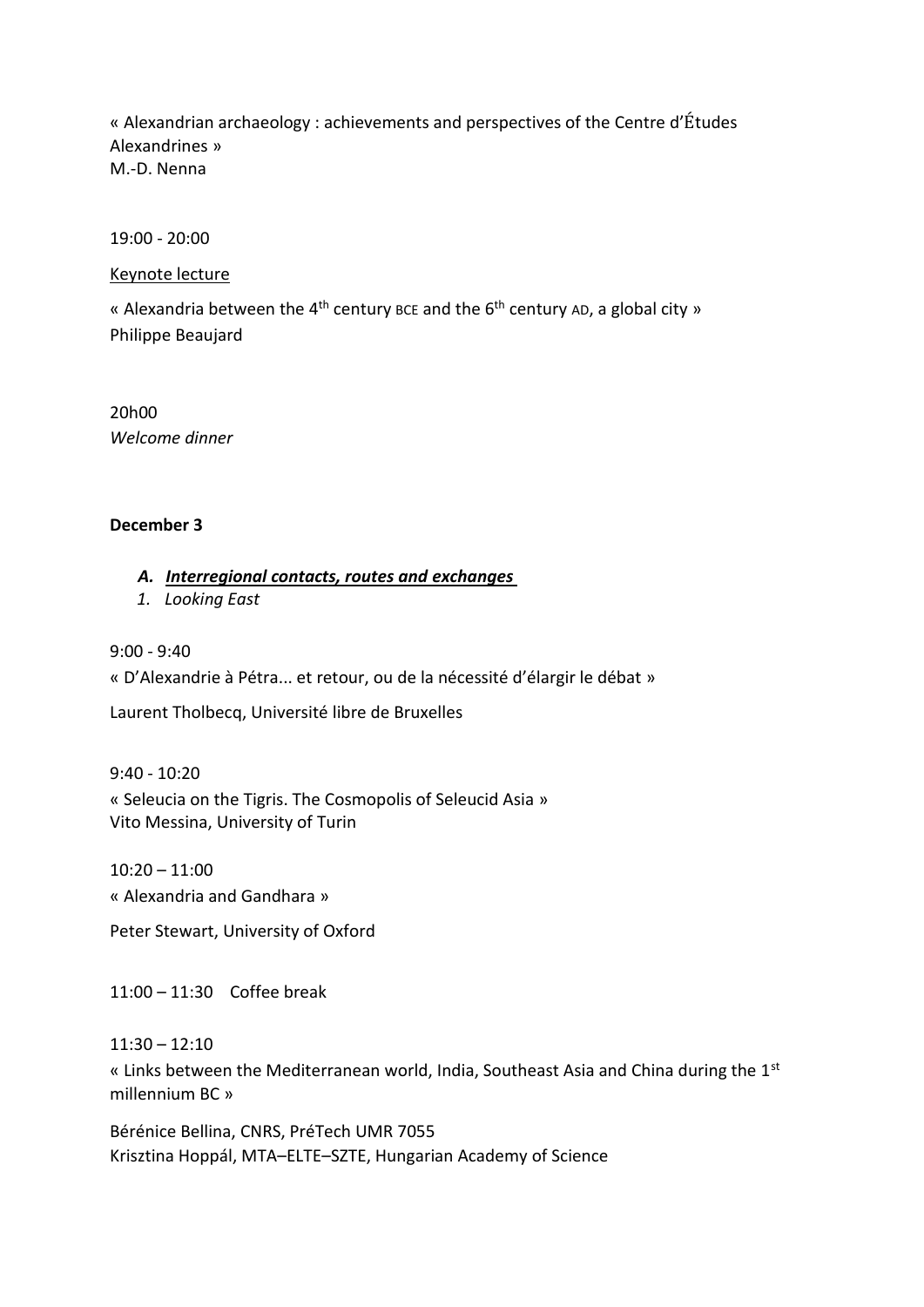« Alexandrian archaeology : achievements and perspectives of the Centre d'Études Alexandrines » M.-D. Nenna

19:00 - 20:00

#### Keynote lecture

« Alexandria between the 4<sup>th</sup> century BCE and the  $6<sup>th</sup>$  century AD, a global city » Philippe Beaujard

20h00 *Welcome dinner*

## **December 3**

## *A. Interregional contacts, routes and exchanges*

*1. Looking East*

9:00 - 9:40 « D'Alexandrie à Pétra... et retour, ou de la nécessité d'élargir le débat »

Laurent Tholbecq, Université libre de Bruxelles

9:40 - 10:20 « Seleucia on the Tigris. The Cosmopolis of Seleucid Asia » Vito Messina, University of Turin

 $10:20 - 11:00$ « Alexandria and Gandhara »

Peter Stewart, University of Oxford

11:00 – 11:30 Coffee break

 $11:30 - 12:10$ 

« Links between the Mediterranean world, India, Southeast Asia and China during the 1<sup>st</sup> millennium BC »

Bérénice Bellina, CNRS, PréTech UMR 7055 Krisztina Hoppál, MTA–ELTE–SZTE, Hungarian Academy of Science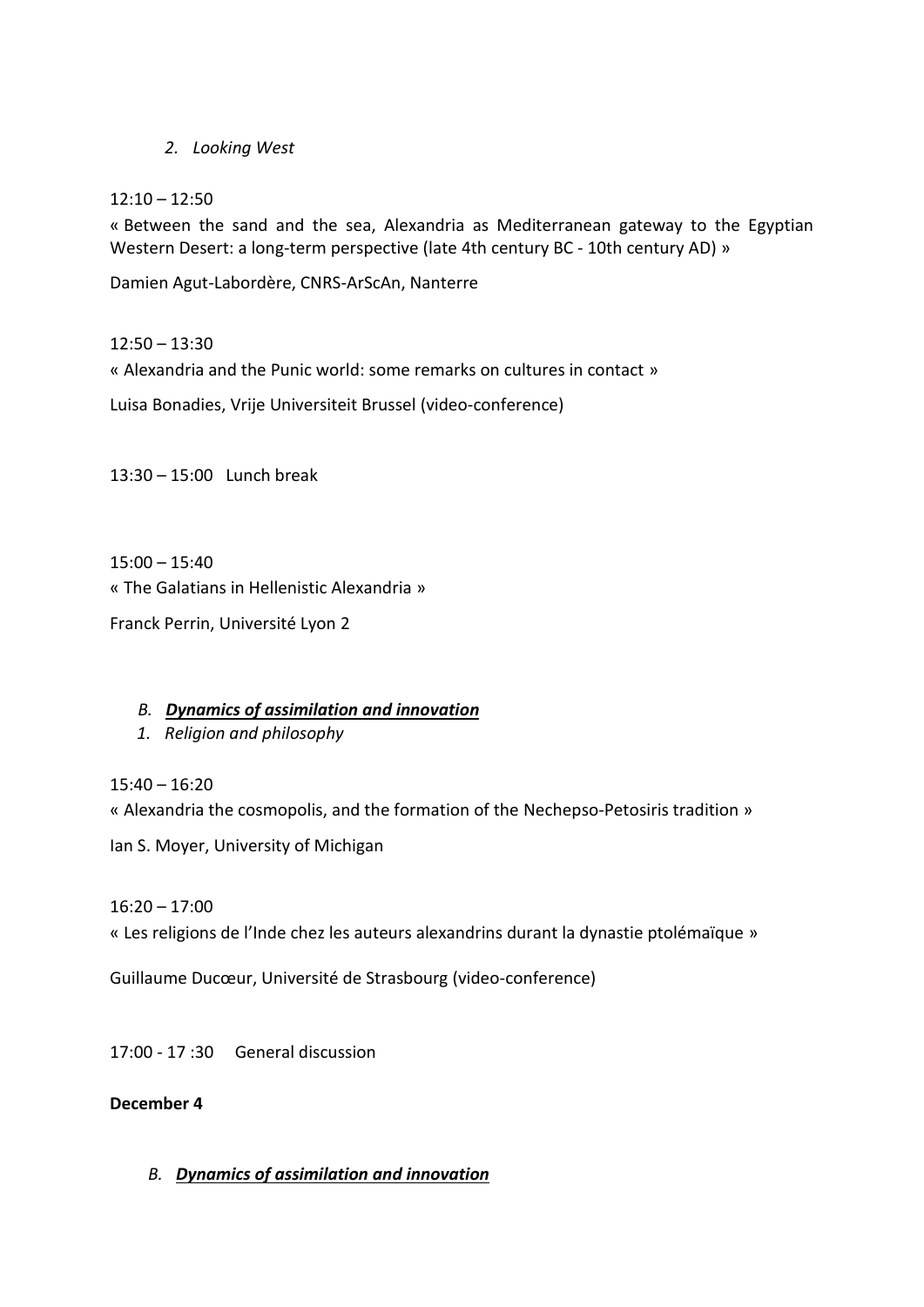*2. Looking West*

# $12:10 - 12:50$

« Between the sand and the sea, Alexandria as Mediterranean gateway to the Egyptian Western Desert: a long-term perspective (late 4th century BC - 10th century AD) »

Damien Agut-Labordère, CNRS-ArScAn, Nanterre

# $12:50 - 13:30$

« Alexandria and the Punic world: some remarks on cultures in contact »

Luisa Bonadies, Vrije Universiteit Brussel (video-conference)

13:30 – 15:00 Lunch break

15:00 – 15:40 « The Galatians in Hellenistic Alexandria » Franck Perrin, Université Lyon 2

# *B. Dynamics of assimilation and innovation*

*1. Religion and philosophy*

15:40 – 16:20

« Alexandria the cosmopolis, and the formation of the Nechepso-Petosiris tradition »

Ian S. Moyer, University of Michigan

16:20 – 17:00

« Les religions de l'Inde chez les auteurs alexandrins durant la dynastie ptolémaïque »

Guillaume Ducœur, Université de Strasbourg (video-conference)

17:00 - 17 :30 General discussion

## **December 4**

*B. Dynamics of assimilation and innovation*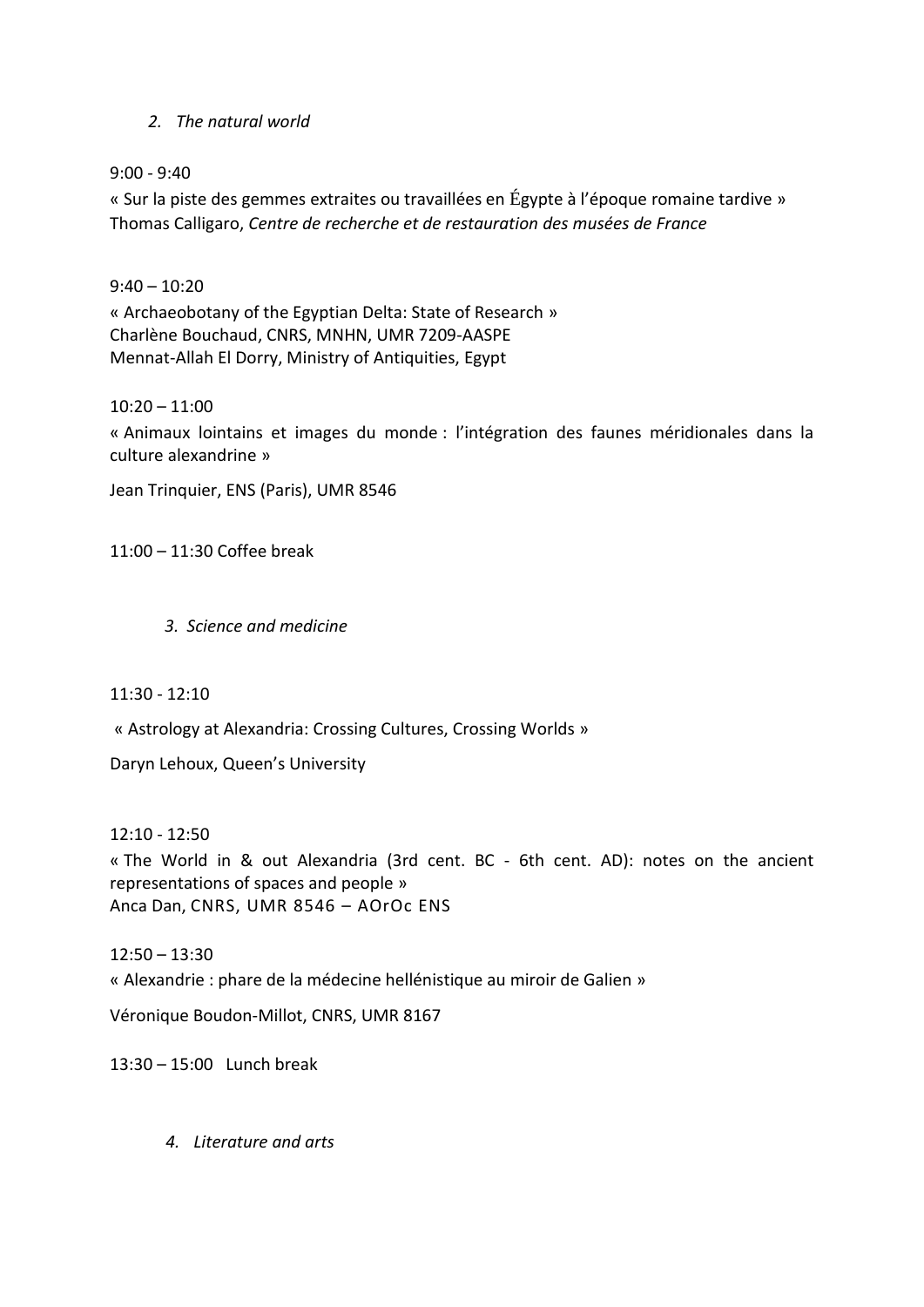## *2. The natural world*

#### 9:00 - 9:40

« Sur la piste des gemmes extraites ou travaillées en Égypte à l'époque romaine tardive » Thomas Calligaro, *Centre de recherche et de restauration des musées de France*

## $9:40 - 10:20$

« Archaeobotany of the Egyptian Delta: State of Research » Charlène Bouchaud, CNRS, MNHN, UMR 7209-AASPE Mennat-Allah El Dorry, Ministry of Antiquities, Egypt

## $10:20 - 11:00$

« Animaux lointains et images du monde : l'intégration des faunes méridionales dans la culture alexandrine »

Jean Trinquier, ENS (Paris), UMR 8546

11:00 – 11:30 Coffee break

*3. Science and medicine*

 $11:30 - 12:10$ 

« Astrology at Alexandria: Crossing Cultures, Crossing Worlds »

Daryn Lehoux, Queen's University

12:10 - 12:50 « The World in & out Alexandria (3rd cent. BC - 6th cent. AD): notes on the ancient representations of spaces and people » Anca Dan, CNRS, UMR 8546 – AOrOc ENS

 $12:50 - 13:30$ « Alexandrie : phare de la médecine hellénistique au miroir de Galien »

Véronique Boudon-Millot, CNRS, UMR 8167

13:30 – 15:00 Lunch break

*4. Literature and arts*